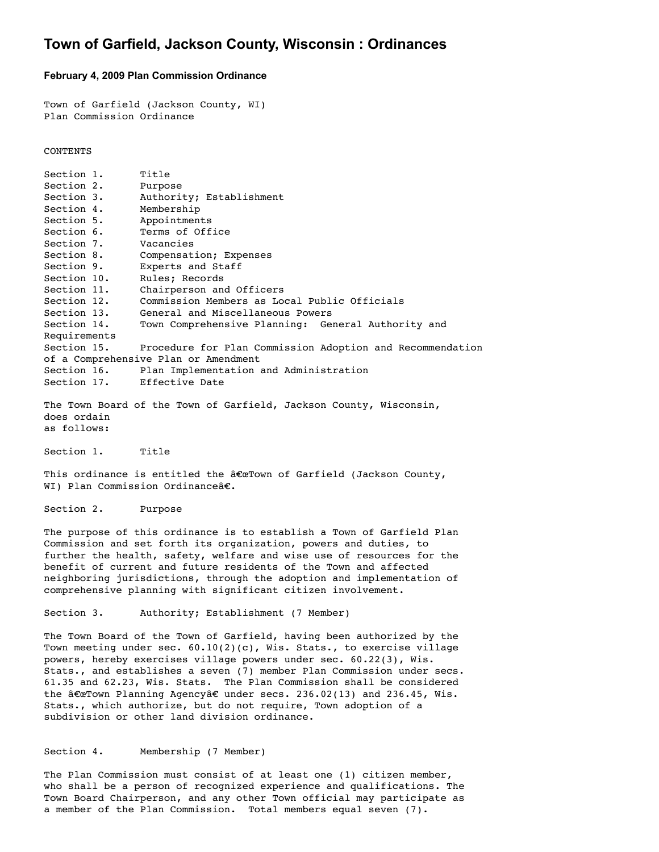# **Town of Garfield, Jackson County, Wisconsin : Ordinances**

# **February 4, 2009 Plan Commission Ordinance**

Town of Garfield (Jackson County, WI) Plan Commission Ordinance

#### **CONTENTS**

| Section 1.                           |  | Title                                                     |
|--------------------------------------|--|-----------------------------------------------------------|
| Section 2.                           |  | Purpose                                                   |
| Section 3.                           |  | Authority; Establishment                                  |
| Section 4.                           |  | Membership                                                |
| Section 5.                           |  | Appointments                                              |
| Section 6.                           |  | Terms of Office                                           |
| Section 7.                           |  | Vacancies                                                 |
| Section 8.                           |  | Compensation; Expenses                                    |
| Section 9.                           |  | Experts and Staff                                         |
| Section 10.                          |  | Rules; Records                                            |
| Section 11.                          |  | Chairperson and Officers                                  |
| Section 12.                          |  | Commission Members as Local Public Officials              |
| Section 13.                          |  | General and Miscellaneous Powers                          |
| Section 14.                          |  | Town Comprehensive Planning: General Authority and        |
| Requirements                         |  |                                                           |
| Section 15.                          |  | Procedure for Plan Commission Adoption and Recommendation |
| of a Comprehensive Plan or Amendment |  |                                                           |
| Section 16.                          |  | Plan Implementation and Administration                    |
| Section 17.                          |  | Effective Date                                            |
|                                      |  |                                                           |

The Town Board of the Town of Garfield, Jackson County, Wisconsin, does ordain as follows:

Section 1. Title

This ordinance is entitled the  $\hat{a} \in \mathbb{C}$  arfield (Jackson County, WI) Plan Commission Ordinanceâ€.

Section 2. Purpose

The purpose of this ordinance is to establish a Town of Garfield Plan Commission and set forth its organization, powers and duties, to further the health, safety, welfare and wise use of resources for the benefit of current and future residents of the Town and affected neighboring jurisdictions, through the adoption and implementation of comprehensive planning with significant citizen involvement.

Section 3. Authority; Establishment (7 Member)

The Town Board of the Town of Garfield, having been authorized by the Town meeting under sec.  $60.10(2)(c)$ , Wis. Stats., to exercise village powers, hereby exercises village powers under sec. 60.22(3), Wis. Stats., and establishes a seven (7) member Plan Commission under secs. 61.35 and 62.23, Wis. Stats. The Plan Commission shall be considered the  $\hat{\text{a}}$  ExTown Planning Agency $\hat{\text{a}}$  under secs. 236.02(13) and 236.45, Wis. Stats., which authorize, but do not require, Town adoption of a subdivision or other land division ordinance.

### Section 4. Membership (7 Member)

The Plan Commission must consist of at least one (1) citizen member, who shall be a person of recognized experience and qualifications. The Town Board Chairperson, and any other Town official may participate as a member of the Plan Commission. Total members equal seven (7).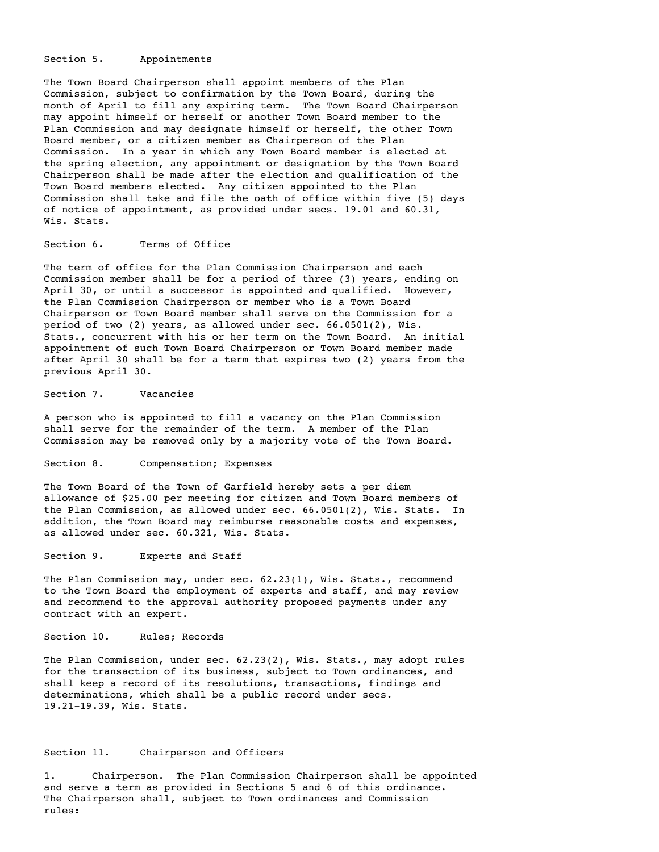#### Section 5. Appointments

The Town Board Chairperson shall appoint members of the Plan Commission, subject to confirmation by the Town Board, during the month of April to fill any expiring term. The Town Board Chairperson may appoint himself or herself or another Town Board member to the Plan Commission and may designate himself or herself, the other Town Board member, or a citizen member as Chairperson of the Plan Commission. In a year in which any Town Board member is elected at the spring election, any appointment or designation by the Town Board Chairperson shall be made after the election and qualification of the Town Board members elected. Any citizen appointed to the Plan Commission shall take and file the oath of office within five (5) days of notice of appointment, as provided under secs. 19.01 and 60.31, Wis. Stats.

# Section 6. Terms of Office

The term of office for the Plan Commission Chairperson and each Commission member shall be for a period of three (3) years, ending on April 30, or until a successor is appointed and qualified. However, the Plan Commission Chairperson or member who is a Town Board Chairperson or Town Board member shall serve on the Commission for a period of two (2) years, as allowed under sec. 66.0501(2), Wis. Stats., concurrent with his or her term on the Town Board. An initial appointment of such Town Board Chairperson or Town Board member made after April 30 shall be for a term that expires two (2) years from the previous April 30.

#### Section 7. Vacancies

A person who is appointed to fill a vacancy on the Plan Commission shall serve for the remainder of the term. A member of the Plan Commission may be removed only by a majority vote of the Town Board.

#### Section 8. Compensation; Expenses

The Town Board of the Town of Garfield hereby sets a per diem allowance of \$25.00 per meeting for citizen and Town Board members of the Plan Commission, as allowed under sec. 66.0501(2), Wis. Stats. In addition, the Town Board may reimburse reasonable costs and expenses, as allowed under sec. 60.321, Wis. Stats.

#### Section 9. Experts and Staff

The Plan Commission may, under sec. 62.23(1), Wis. Stats., recommend to the Town Board the employment of experts and staff, and may review and recommend to the approval authority proposed payments under any contract with an expert.

# Section 10. Rules; Records

The Plan Commission, under sec. 62.23(2), Wis. Stats., may adopt rules for the transaction of its business, subject to Town ordinances, and shall keep a record of its resolutions, transactions, findings and determinations, which shall be a public record under secs. 19.21-19.39, Wis. Stats.

# Section 11. Chairperson and Officers

1. Chairperson. The Plan Commission Chairperson shall be appointed and serve a term as provided in Sections 5 and 6 of this ordinance. The Chairperson shall, subject to Town ordinances and Commission rules: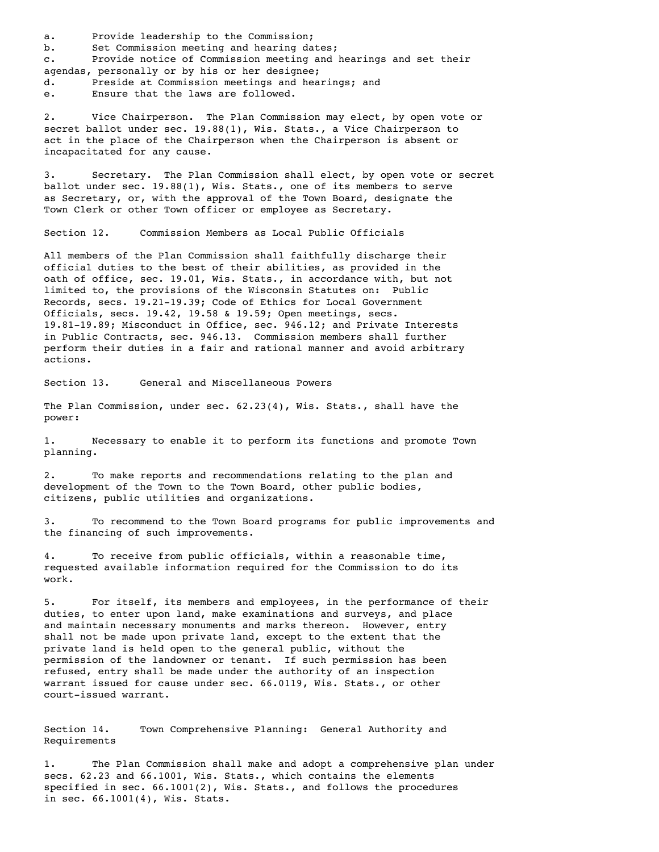a. Provide leadership to the Commission;

b. Set Commission meeting and hearing dates; c. Provide notice of Commission meeting and hearings and set their agendas, personally or by his or her designee; d. Preside at Commission meetings and hearings; and e. Ensure that the laws are followed.

2. Vice Chairperson. The Plan Commission may elect, by open vote or secret ballot under sec. 19.88(1), Wis. Stats., a Vice Chairperson to act in the place of the Chairperson when the Chairperson is absent or incapacitated for any cause.

3. Secretary. The Plan Commission shall elect, by open vote or secret ballot under sec. 19.88(1), Wis. Stats., one of its members to serve as Secretary, or, with the approval of the Town Board, designate the Town Clerk or other Town officer or employee as Secretary.

Section 12. Commission Members as Local Public Officials

All members of the Plan Commission shall faithfully discharge their official duties to the best of their abilities, as provided in the oath of office, sec. 19.01, Wis. Stats., in accordance with, but not limited to, the provisions of the Wisconsin Statutes on: Public Records, secs. 19.21-19.39; Code of Ethics for Local Government Officials, secs. 19.42, 19.58 & 19.59; Open meetings, secs. 19.81-19.89; Misconduct in Office, sec. 946.12; and Private Interests in Public Contracts, sec. 946.13. Commission members shall further perform their duties in a fair and rational manner and avoid arbitrary actions.

Section 13. General and Miscellaneous Powers

The Plan Commission, under sec. 62.23(4), Wis. Stats., shall have the power:

1. Necessary to enable it to perform its functions and promote Town planning.

2. To make reports and recommendations relating to the plan and development of the Town to the Town Board, other public bodies, citizens, public utilities and organizations.

3. To recommend to the Town Board programs for public improvements and the financing of such improvements.

4. To receive from public officials, within a reasonable time, requested available information required for the Commission to do its work.

5. For itself, its members and employees, in the performance of their duties, to enter upon land, make examinations and surveys, and place and maintain necessary monuments and marks thereon. However, entry shall not be made upon private land, except to the extent that the private land is held open to the general public, without the permission of the landowner or tenant. If such permission has been refused, entry shall be made under the authority of an inspection warrant issued for cause under sec. 66.0119, Wis. Stats., or other court-issued warrant.

Section 14. Town Comprehensive Planning: General Authority and Requirements

1. The Plan Commission shall make and adopt a comprehensive plan under secs. 62.23 and 66.1001, Wis. Stats., which contains the elements specified in sec. 66.1001(2), Wis. Stats., and follows the procedures in sec. 66.1001(4), Wis. Stats.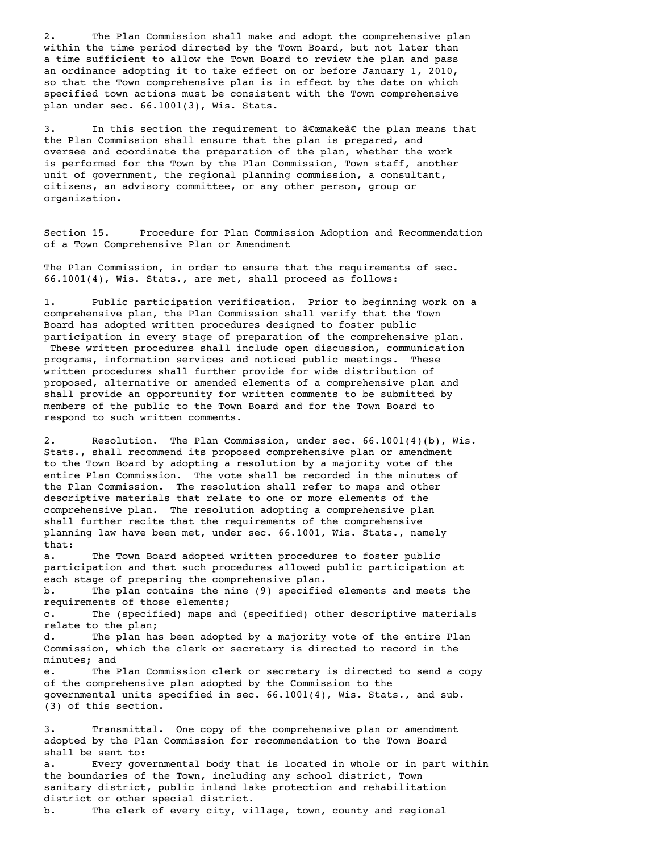2. The Plan Commission shall make and adopt the comprehensive plan within the time period directed by the Town Board, but not later than a time sufficient to allow the Town Board to review the plan and pass an ordinance adopting it to take effect on or before January 1, 2010, so that the Town comprehensive plan is in effect by the date on which specified town actions must be consistent with the Town comprehensive plan under sec. 66.1001(3), Wis. Stats.

3. In this section the requirement to  $\hat{a} \in \mathbb{C}$  and  $\hat{a} \in \mathbb{C}$  the plan means that the Plan Commission shall ensure that the plan is prepared, and oversee and coordinate the preparation of the plan, whether the work is performed for the Town by the Plan Commission, Town staff, another unit of government, the regional planning commission, a consultant, citizens, an advisory committee, or any other person, group or organization.

Section 15. Procedure for Plan Commission Adoption and Recommendation of a Town Comprehensive Plan or Amendment

The Plan Commission, in order to ensure that the requirements of sec. 66.1001(4), Wis. Stats., are met, shall proceed as follows:

1. Public participation verification. Prior to beginning work on a comprehensive plan, the Plan Commission shall verify that the Town Board has adopted written procedures designed to foster public participation in every stage of preparation of the comprehensive plan. These written procedures shall include open discussion, communication programs, information services and noticed public meetings. These written procedures shall further provide for wide distribution of proposed, alternative or amended elements of a comprehensive plan and shall provide an opportunity for written comments to be submitted by members of the public to the Town Board and for the Town Board to respond to such written comments.

2. Resolution. The Plan Commission, under sec. 66.1001(4)(b), Wis. Stats., shall recommend its proposed comprehensive plan or amendment to the Town Board by adopting a resolution by a majority vote of the entire Plan Commission. The vote shall be recorded in the minutes of the Plan Commission. The resolution shall refer to maps and other descriptive materials that relate to one or more elements of the comprehensive plan. The resolution adopting a comprehensive plan shall further recite that the requirements of the comprehensive planning law have been met, under sec. 66.1001, Wis. Stats., namely that:

a. The Town Board adopted written procedures to foster public participation and that such procedures allowed public participation at each stage of preparing the comprehensive plan.

b. The plan contains the nine (9) specified elements and meets the requirements of those elements;

c. The (specified) maps and (specified) other descriptive materials relate to the plan;

d. The plan has been adopted by a majority vote of the entire Plan Commission, which the clerk or secretary is directed to record in the minutes; and

e. The Plan Commission clerk or secretary is directed to send a copy of the comprehensive plan adopted by the Commission to the governmental units specified in sec. 66.1001(4), Wis. Stats., and sub. (3) of this section.

3. Transmittal. One copy of the comprehensive plan or amendment adopted by the Plan Commission for recommendation to the Town Board shall be sent to: a. Every governmental body that is located in whole or in part within the boundaries of the Town, including any school district, Town sanitary district, public inland lake protection and rehabilitation district or other special district. b. The clerk of every city, village, town, county and regional